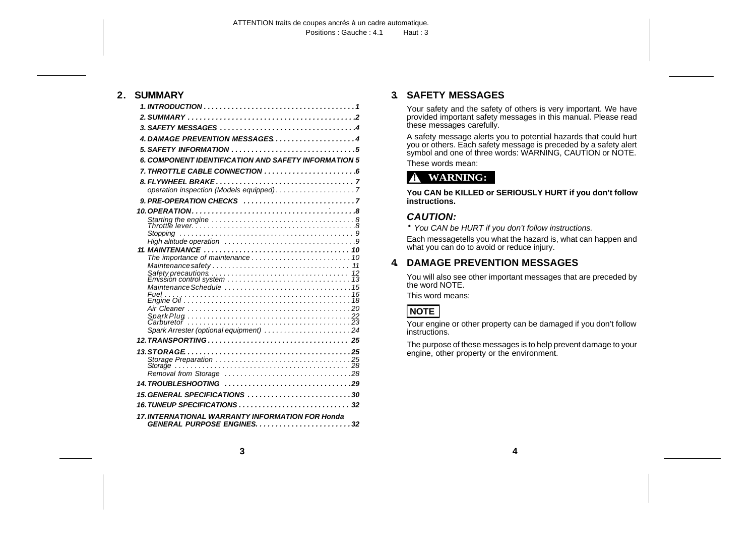### **2. SUMMARY**

| <b>6. COMPONENT IDENTIFICATION AND SAFETY INFORMATION 5</b>                       |
|-----------------------------------------------------------------------------------|
|                                                                                   |
|                                                                                   |
|                                                                                   |
| 9. PRE-OPERATION CHECKS $\ldots \ldots \ldots \ldots \ldots \ldots \ldots \ldots$ |
|                                                                                   |
|                                                                                   |
|                                                                                   |
|                                                                                   |
|                                                                                   |
|                                                                                   |
|                                                                                   |
|                                                                                   |
|                                                                                   |
|                                                                                   |
|                                                                                   |
|                                                                                   |
| Spark Arrester (optional equipment) 24                                            |
|                                                                                   |
|                                                                                   |
|                                                                                   |
|                                                                                   |
|                                                                                   |
|                                                                                   |
|                                                                                   |
|                                                                                   |
| 17. INTERNATIONAL WARRANTY INFORMATION FOR Honda                                  |

# **3. SAFETY MESSAGES**

Your safety and the safety of others is very important. We have provided important safety messages in this manual. Please read these messages carefully.

A safety message alerts you to potential hazards that could hurt you or others. Each safety message is preceded by a safety alert symbol and one of three words: WARNING, CAUTION or NOTE.

These words mean:

# **! WARNING:**

**You CAN be KILLED or SERIOUSLY HURT if you don't follow instructions.**

# *CAUTION:*

• *You CAN be HURT if you don't follow instructions.*

Each messagetells you what the hazard is, what can happen and what you can do to avoid or reduce injury.

# **4. DAMAGE PREVENTION MESSAGES**

You will also see other important messages that are preceded by the word NOTE.

This word means:

# **NOTE**

Your engine or other property can be damaged if you don't follow instructions.

The purpose of these messages is to help prevent damage to your engine, other property or the environment.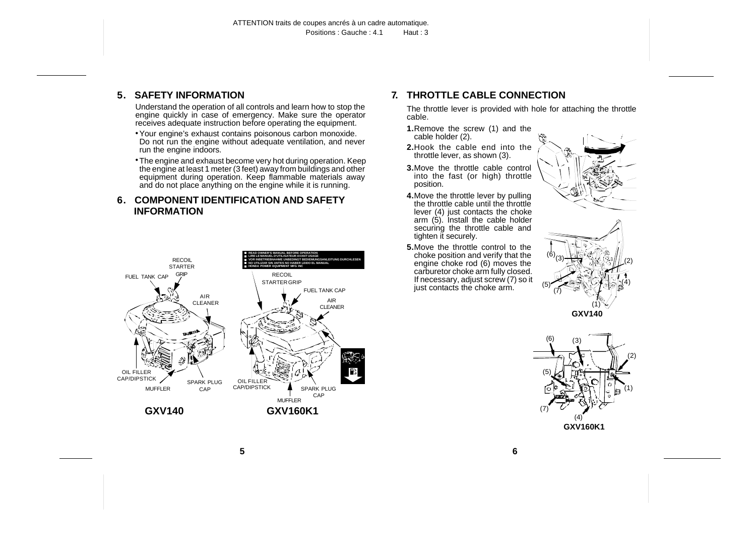## <span id="page-1-0"></span>**5. SAFETY INFORMATION**

Understand the operation of all controls and learn how to stop the engine quickly in case of emergency. Make sure the operator receives adequate instruction before operating the equipment.

- •Your engine's exhaust contains poisonous carbon monoxide. Do not run the engine without adequate ventilation, and never run the engine indoors.
- •The engine and exhaust become very hot during operation. Keep the engine at least 1 meter (3 feet) away from buildings and other equipment during operation. Keep flammable materials away and do not place anything on the engine while it is running.

### **6. COMPONENT IDENTIFICATION AND SAFETY INFORMATION**



# **7. THROTTLE CABLE CONNECTION**

The throttle lever is provided with hole for attaching the throttle cable.

- **1.**Remove the screw (1) and the cable holder (2).
- **2.**Hook the cable end into the throttle lever, as shown (3).
- **3.**Move the throttle cable control into the fast (or high) throttle position.
- **4.**Move the throttle lever by pulling the throttle cable until the throttle lever (4) just contacts the choke arm (5). Install the cable holder securing the throttle cable and tighten it securely.
- **5.**Move the throttle control to the choke position and verify that the engine choke rod (6) moves the carburetor choke arm fully closed. If necessary, adjust screw (7) so it just contacts the choke arm.





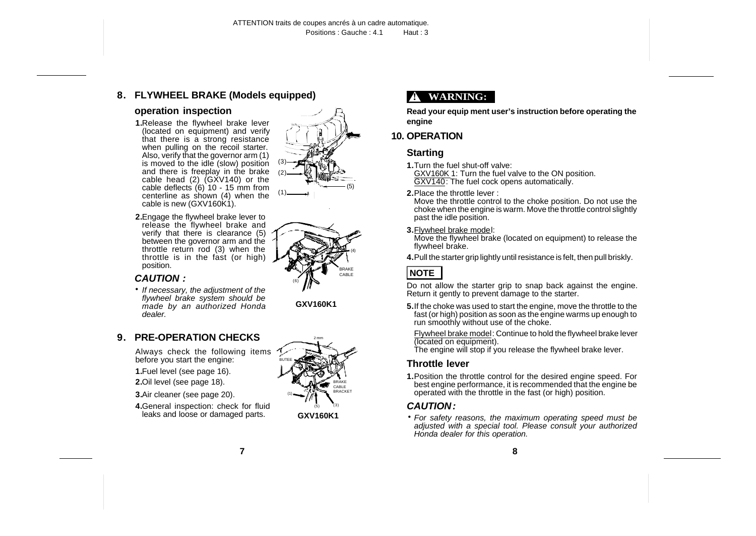# <span id="page-2-0"></span>**8. FLYWHEEL BRAKE (Models equipped)**

#### **operation inspection**

- **1.**Release the flywheel brake lever (located on equipment) and verify that there is a strong resistance when pulling on the recoil starter. Also, verify that the governor arm (1) is moved to the idle (slow) position and there is freeplay in the brake cable head (2) (GXV140) or the cable deflects (6) 10 - 15 mm from centerline as shown  $(4)$  when the cable is new (GXV160K1).
- **2.**Engage the flywheel brake lever to release the flywheel brake and verify that there is clearance (5) between the governor arm and the throttle return rod (3) when the throttle is in the fast (or high) position.

#### *CAUTION :*

• *If necessary, the adjustment of the flywheel brake system should be made by an authorized Honda dealer.*

### **9. PRE-OPERATION CHECKS**

Always check the following items before you start the engine:

- **1.**Fuel level (see page 16).
- **2.**Oil level (see page 18).
- **3.**Air cleaner (see page 20).
- **4.**General inspection: check for fluid leaks and loose or damaged parts.



(3)

**GXV160K1**



# **! WARNING:**

**Read your equip ment user's instruction before operating the engine**

# **10. OPERATION**

# **Starting**

- **1.**Turn the fuel shut-off valve: GXV160K 1: Turn the fuel valve to the ON position. GXV140: The fuel cock opens automatically.
- **2.**Place the throttle lever :

Move the throttle control to the choke position. Do not use the choke when the engine is warm. Move the throttle control slightly past the idle position.

**3.**Flywheel brake model:

Move the flywheel brake (located on equipment) to release the flywheel brake.

**4.**Pull the starter grip lightly until resistance is felt, then pull briskly.

# **NOTE**

Do not allow the starter grip to snap back against the engine. Return it gently to prevent damage to the starter.

- **5.**If the choke was used to start the engine, move the throttle to the fast (or high) position as soon as the engine warms up enough to run smoothly without use of the choke.
	- Flywheel brake model: Continue to hold the flywheel brake lever (located on equipment).

The engine will stop if you release the flywheel brake lever.

### **Throttle lever**

**1.**Position the throttle control for the desired engine speed. For best engine performance, it is recommended that the engine be operated with the throttle in the fast (or high) position.

# *CAUTION :*

• *For safety reasons, the maximum operating speed must be adjusted with a special tool. Please consult your authorized Honda dealer for this operation.*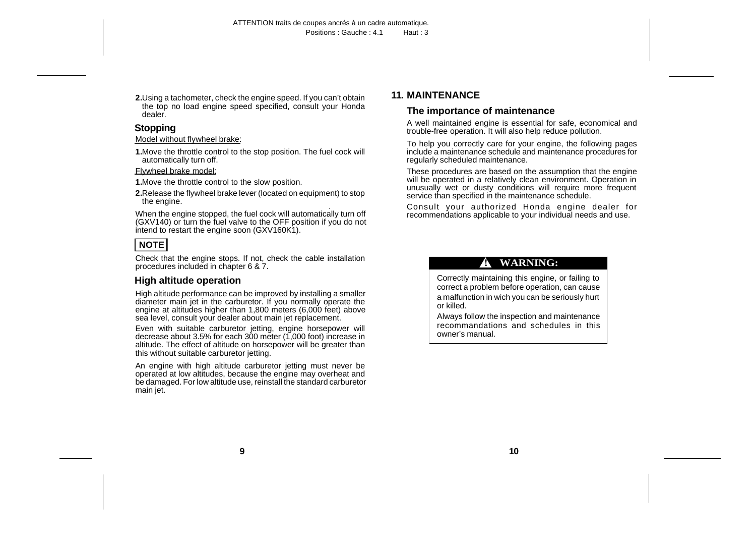<span id="page-3-0"></span>**2.**Using a tachometer, check the engine speed. If you can't obtain the top no load engine speed specified, consult your Honda dealer.

# **Stopping**

Model without flywheel brake:

**1.**Move the throttle control to the stop position. The fuel cock will automatically turn off.

#### Flywheel brake model:

- **1.**Move the throttle control to the slow position.
- **2.**Release the flywheel brake lever (located on equipment) to stop the engine.

When the engine stopped, the fuel cock will automatically turn off (GXV140) or turn the fuel valve to the OFF position if you do not intend to restart the engine soon (GXV160K1).

# **NOTE**

Check that the engine stops. If not, check the cable installation procedures included in chapter 6 & 7.

### **High altitude operation**

High altitude performance can be improved by installing a smaller diameter main jet in the carburetor. If you normally operate the engine at altitudes higher than 1,800 meters (6,000 feet) above sea level, consult your dealer about main jet replacement.

Even with suitable carburetor jetting, engine horsepower will decrease about 3.5% for each 300 meter (1,000 foot) increase in altitude. The effect of altitude on horsepower will be greater than this without suitable carburetor jetting.

An engine with high altitude carburetor jetting must never be operated at low altitudes, because the engine may overheat and be damaged. For low altitude use, reinstall the standard carburetor main jet.

# **11. MAINTENANCE**

### **The importance of maintenance**

A well maintained engine is essential for safe, economical and trouble-free operation. It will also help reduce pollution.

To help you correctly care for your engine, the following pages include a maintenance schedule and maintenance procedures for regularly scheduled maintenance.

These procedures are based on the assumption that the engine will be operated in a relatively clean environment. Operation in unusually wet or dusty conditions will require more frequent service than specified in the maintenance schedule.

Consult your authorized Honda engine dealer for recommendations applicable to your individual needs and use.

# **! WARNING:**

Correctly maintaining this engine, or failing to correct a problem before operation, can cause a malfunction in wich you can be seriously hurt or killed.

Always follow the inspection and maintenance recommandations and schedules in this owner's manual.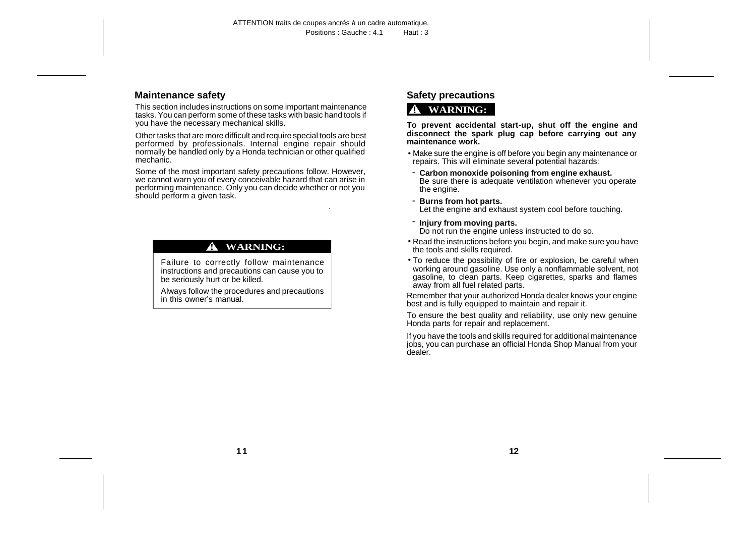#### <span id="page-4-0"></span>**Maintenance safety**

This section includes instructions on some important maintenance tasks. You can perform some of these tasks with basic hand tools if you have the necessary mechanical skills.

Other tasks that are more difficult and require special tools are best performed by professionals. Internal engine repair should normally be handled only by a Honda technician or other qualified mechanic.

Some of the most important safety precautions follow. However, we cannot warn you of every conceivable hazard that can arise in performing maintenance. Only you can decide whether or not you should perform a given task.

#### **! WARNING:**

Failure to correctly follow maintenance instructions and precautions can cause you to be seriously hurt or be killed.

Always follow the procedures and precautions in this owner's manual.

# **Safety precautions**

# **! WARNING:**

**To prevent accidental start-up, shut off the engine and disconnect the spark plug cap before carrying out any maintenance work.**

- Make sure the engine is off before you begin any maintenance or repairs. This will eliminate several potential hazards:
- **Carbon monoxide poisoning from engine exhaust.** Be sure there is adequate ventilation whenever you operate the engine.

- **Burns from hot parts.** Let the engine and exhaust system cool before touching.

#### - **Injury from moving parts.**

Do not run the engine unless instructed to do so.

- Read the instructions before you begin, and make sure you have the tools and skills required.
- To reduce the possibility of fire or explosion, be careful when working around gasoline. Use only a nonflammable solvent, not gasoline, to clean parts. Keep cigarettes, sparks and flames away from all fuel related parts.

Remember that your authorized Honda dealer knows your engine best and is fully equipped to maintain and repair it.

To ensure the best quality and reliability, use only new genuine Honda parts for repair and replacement.

If you have the tools and skills required for additional maintenance jobs, you can purchase an official Honda Shop Manual from your dealer.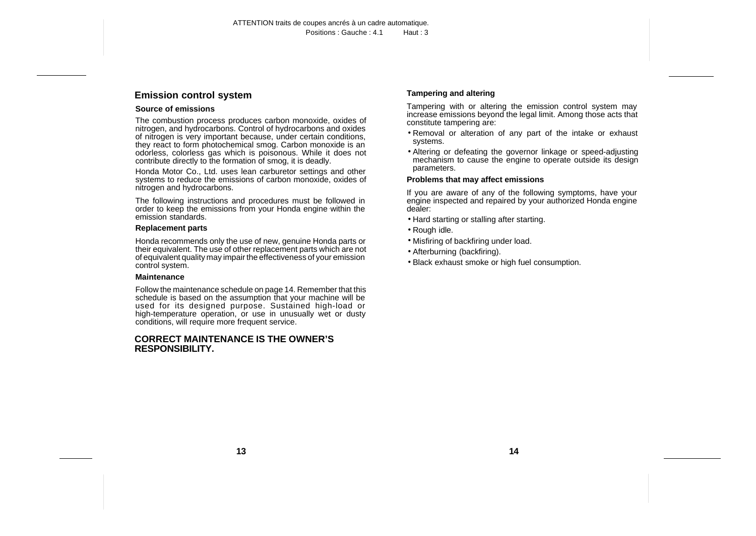### <span id="page-5-0"></span>**Emission control system**

#### **Source of emissions**

The combustion process produces carbon monoxide, oxides of nitrogen, and hydrocarbons. Control of hydrocarbons and oxides of nitrogen is very important because, under certain conditions, they react to form photochemical smog. Carbon monoxide is an odorless, colorless gas which is poisonous. While it does not contribute directly to the formation of smog, it is deadly.

Honda Motor Co., Ltd. uses lean carburetor settings and other systems to reduce the emissions of carbon monoxide, oxides of nitrogen and hydrocarbons.

The following instructions and procedures must be followed in order to keep the emissions from your Honda engine within the emission standards.

#### **Replacement parts**

Honda recommends only the use of new, genuine Honda parts or their equivalent. The use of other replacement parts which are not of equivalent quality may impair the effectiveness of your emission control system.

#### **Maintenance**

Follow the maintenance schedule on page 14. Remember that this schedule is based on the assumption that your machine will be used for its designed purpose. Sustained high-load or high-temperature operation, or use in unusually wet or dusty conditions, will require more frequent service.

#### **CORRECT MAINTENANCE IS THE OWNER'S RESPONSIBILITY.**

#### **Tampering and altering**

Tampering with or altering the emission control system may increase emissions beyond the legal limit. Among those acts that constitute tampering are:

- Removal or alteration of any part of the intake or exhaust systems.
- Altering or defeating the governor linkage or speed-adjusting mechanism to cause the engine to operate outside its design parameters.

#### **Problems that may affect emissions**

If you are aware of any of the following symptoms, have your engine inspected and repaired by your authorized Honda engine dealer:

- Hard starting or stalling after starting.
- Rough idle.
- Misfiring of backfiring under load.
- Afterburning (backfiring).
- Black exhaust smoke or high fuel consumption.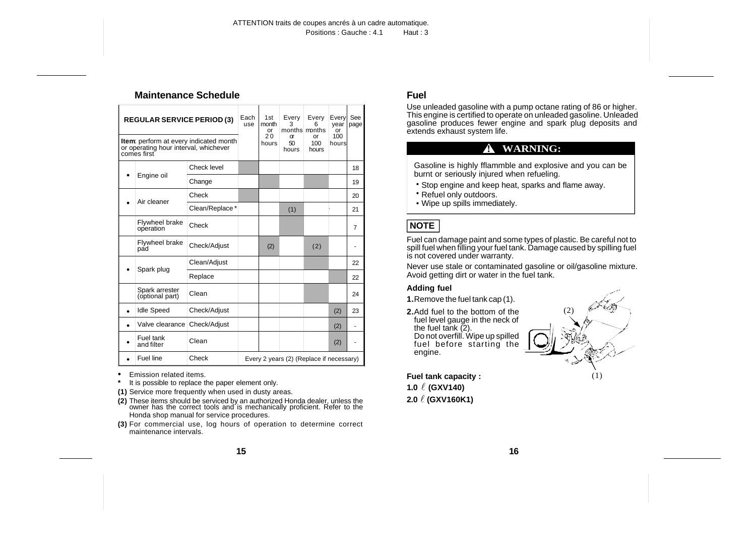#### <span id="page-6-0"></span>**Maintenance Schedule**

| <b>REGULAR SERVICE PERIOD (3)</b>                                                                     |                                   |                | Each<br>use                              | 1st<br>month<br>or | Every<br>3<br>months months | Every                  | Every<br>year<br>or | See<br>page |
|-------------------------------------------------------------------------------------------------------|-----------------------------------|----------------|------------------------------------------|--------------------|-----------------------------|------------------------|---------------------|-------------|
| <b>Item:</b> perform at every indicated month<br>or operating hour interval, whichever<br>comes first |                                   |                |                                          | 20<br>hours        | $\alpha$<br>50<br>hours     | Ωr<br>$100 -$<br>hours | $100 -$<br>hours    |             |
|                                                                                                       |                                   | Check level    |                                          |                    |                             |                        |                     | 18          |
|                                                                                                       | Engine oil                        | Change         |                                          |                    |                             |                        |                     | 19          |
|                                                                                                       | Air cleaner                       | Check          |                                          |                    |                             |                        |                     | 20          |
|                                                                                                       |                                   | Clean/Replace* |                                          |                    | (1)                         |                        |                     | 21          |
|                                                                                                       | Flywheel brake<br>operation       | Check          |                                          |                    |                             |                        |                     | 7           |
|                                                                                                       | Flywheel brake<br>pad             | Check/Adjust   |                                          | (2)                |                             | (2)                    |                     |             |
|                                                                                                       | Spark plug                        | Clean/Adjust   |                                          |                    |                             |                        |                     | 22          |
|                                                                                                       |                                   | Replace        |                                          |                    |                             |                        |                     | 22          |
|                                                                                                       | Spark arrester<br>(optional part) | Clean          |                                          |                    |                             |                        |                     | 24          |
|                                                                                                       | <b>Idle Speed</b>                 | Check/Adjust   |                                          |                    |                             |                        | (2)                 | 23          |
|                                                                                                       | Valve clearance                   | Check/Adjust   |                                          |                    |                             |                        | (2)                 |             |
|                                                                                                       | Fuel tank<br>and filter           | Clean          |                                          |                    |                             |                        | (2)                 |             |
|                                                                                                       | Fuel line                         | Check          | Every 2 years (2) (Replace if necessary) |                    |                             |                        |                     |             |

• Emission related items.

- It is possible to replace the paper element only.
- **(1)** Service more frequently when used in dusty areas.
- **(2)** These items should be serviced by an authorized Honda dealer, unless the owner has the correct tools and is mechanically proficient. Refer to the Honda shop manual for service procedures.
- **(3)** For commercial use, log hours of operation to determine correct maintenance intervals.

# **Fuel**

Use unleaded gasoline with a pump octane rating of 86 or higher. This engine is certified to operate on unleaded gasoline. Unleaded gasoline produces fewer engine and spark plug deposits and extends exhaust system life.

# **! WARNING:**

Gasoline is highly fflammble and explosive and you can be burnt or seriously injured when refueling.

- Stop engine and keep heat, sparks and flame away.
- Refuel only outdoors.
- Wipe up spills immediately.

# **NOTE**

Fuel can damage paint and some types of plastic. Be careful not to spill fuel when filling your fuel tank. Damage caused by spilling fuel is not covered under warranty.

Never use stale or contaminated gasoline or oil/gasoline mixture. Avoid getting dirt or water in the fuel tank.

#### **Adding fuel**

**1.**Remove the fuel tank cap (1).

**2.**Add fuel to the bottom of the fuel level gauge in the neck of the fuel tank  $(2)$ . Do not overfill. Wipe up spilled fuel before starting the engine.



**Fuel tank capacity : 1.0** l **(GXV140) 2.0** l **(GXV160K1)**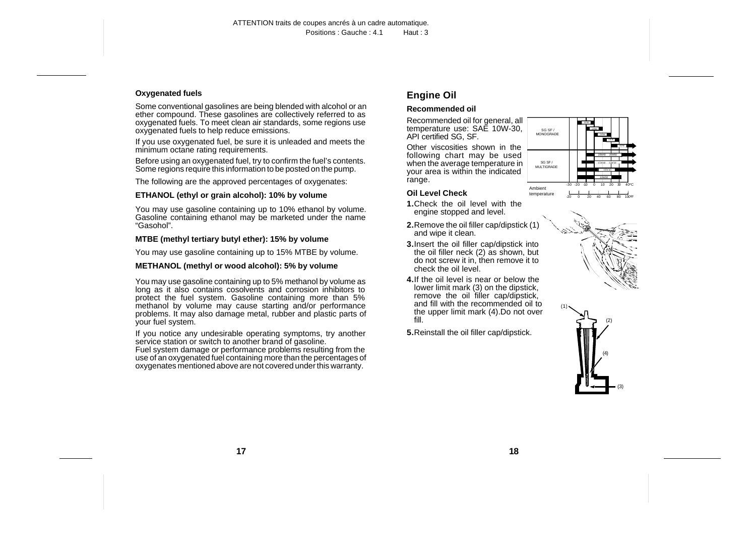#### <span id="page-7-0"></span>**Oxygenated fuels**

Some conventional gasolines are being blended with alcohol or an ether compound. These gasolines are collectively referred to as oxygenated fuels. To meet clean air standards, some regions use oxygenated fuels to help reduce emissions.

If you use oxygenated fuel, be sure it is unleaded and meets the minimum octane rating requirements.

Before using an oxygenated fuel, try to confirm the fuel's contents. Some regions require this information to be posted on the pump.

The following are the approved percentages of oxygenates:

#### **ETHANOL (ethyl or grain alcohol): 10% by volume**

You may use gasoline containing up to 10% ethanol by volume. Gasoline containing ethanol may be marketed under the name "Gasohol".

#### **MTBE (methyl tertiary butyl ether): 15% by volume**

You may use gasoline containing up to 15% MTBE by volume.

#### **METHANOL (methyl or wood alcohol): 5% by volume**

You may use gasoline containing up to 5% methanol by volume as long as it also contains cosolvents and corrosion inhibitors to protect the fuel system. Gasoline containing more than 5% methanol by volume may cause starting and/or performance problems. It may also damage metal, rubber and plastic parts of your fuel system.

If you notice any undesirable operating symptoms, try another service station or switch to another brand of gasoline.

Fuel system damage or performance problems resulting from the use of an oxygenated fuel containing more than the percentages of oxygenates mentioned above are not covered under this warranty.

# **Engine Oil**

#### **Recommended oil**

Recommended oil for general, all temperature use: SAE 10W-30, API certified SG, SF.

Other viscosities shown in the following chart may be used when the average temperature in your area is within the indicated range.

#### **Oil Level Check**



- **1.**Check the oil level with the engine stopped and level.
- **2.**Remove the oil filler cap/dipstick (1) and wipe it clean.
- **3.**Insert the oil filler cap/dipstick into the oil filler neck (2) as shown, but do not screw it in, then remove it to check the oil level.
- **4.**If the oil level is near or below the lower limit mark (3) on the dipstick, remove the oil filler cap/dipstick, and fill with the recommended oil to the upper limit mark (4).Do not over fill.
- **5.**Reinstall the oil filler cap/dipstick.



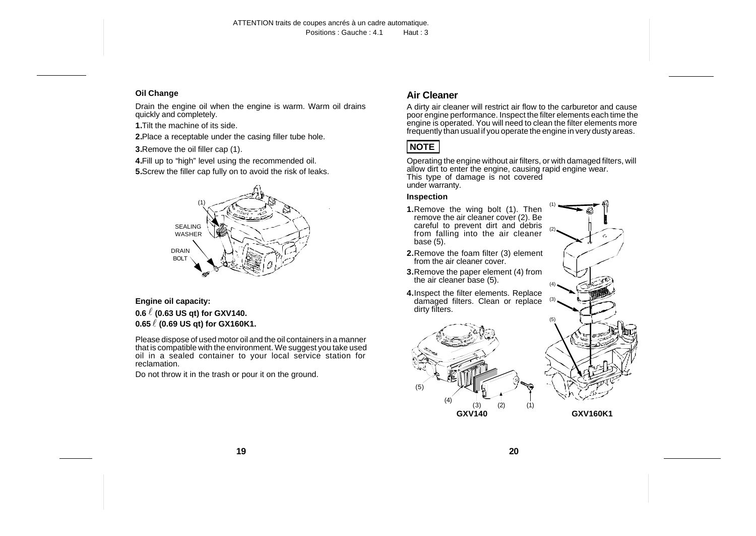#### <span id="page-8-0"></span>**Oil Change**

Drain the engine oil when the engine is warm. Warm oil drains quickly and completely.

**1.**Tilt the machine of its side.

**2.**Place a receptable under the casing filler tube hole.

**3.**Remove the oil filler cap (1).

**4.**Fill up to "high" level using the recommended oil.

**5.**Screw the filler cap fully on to avoid the risk of leaks.



#### **Engine oil capacity: 0.6** l **(0.63 US qt) for GXV140. 0.65** l **(0.69 US qt) for GX160K1.**

Please dispose of used motor oil and the oil containers in a manner that is compatible with the environment. We suggest you take used oil in a sealed container to your local service station for reclamation.

Do not throw it in the trash or pour it on the ground.

# **Air Cleaner**

A dirty air cleaner will restrict air flow to the carburetor and cause poor engine performance. Inspect the filter elements each time the engine is operated. You will need to clean the filter elements more frequently than usual if you operate the engine in very dusty areas.



Operating the engine without air filters, or with damaged filters, will allow dirt to enter the engine, causing rapid engine wear. This type of damage is not covered under warranty.

#### **Inspection**

- **1.**Remove the wing bolt (1). Then remove the air cleaner cover (2). Be careful to prevent dirt and debris from falling into the air cleaner base (5).
- **2.**Remove the foam filter (3) element from the air cleaner cover.
- **3.**Remove the paper element (4) from the air cleaner base (5).
- **4.**Inspect the filter elements. Replace damaged filters. Clean or replace dirty filters.





**GXV160K1**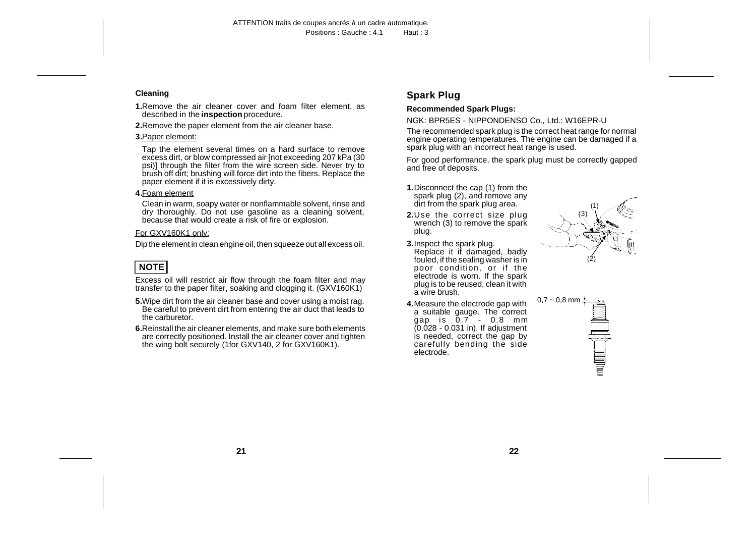#### <span id="page-9-0"></span>**Cleaning**

- **1.**Remove the air cleaner cover and foam filter element, as described in the **inspection** procedure.
- **2.**Remove the paper element from the air cleaner base.

#### **3.**Paper element:

Tap the element several times on a hard surface to remove excess dirt, or blow compressed air [not exceeding 207 kPa (30 psi)] through the filter from the wire screen side. Never try to brush off dirt; brushing will force dirt into the fibers. Replace the paper element if it is excessively dirty.

#### **4.**Foam element

Clean in warm, soapy water or nonflammable solvent, rinse and dry thoroughly. Do not use gasoline as a cleaning solvent, because that would create a risk of fire or explosion.

#### For GXV160K1 only:

Dip the element in clean engine oil, then squeeze out all excess oil.

# **NOTE**

Excess oil will restrict air flow through the foam filter and may transfer to the paper filter, soaking and clogging it. (GXV160K1)

- **5.**Wipe dirt from the air cleaner base and cover using a moist rag. Be careful to prevent dirt from entering the air duct that leads to the carburetor.
- **6.**Reinstall the air cleaner elements, and make sure both elements are correctly positioned. Install the air cleaner cover and tighten the wing bolt securely (1for GXV140, 2 for GXV160K1).

# **Spark Plug**

#### **Recommended Spark Plugs:**

NGK: BPR5ES - NIPPONDENSO Co., Ltd.: W16EPR-U

The recommended spark plug is the correct heat range for normal engine operating temperatures. The engine can be damaged if a spark plug with an incorrect heat range is used.

For good performance, the spark plug must be correctly gapped and free of deposits.

- **1.**Disconnect the cap (1) from the spark plug (2), and remove any dirt from the spark plug area.
- **2.**Use the correct size plug wrench (3) to remove the spark plug.
- **3.**Inspect the spark plug. Replace it if damaged, badly fouled, if the sealing washer is in poor condition, or if the electrode is worn. If the spark plug is to be reused, clean it with a wire brush.
- **4.**Measure the electrode gap with a suitable gauge. The correct  $\frac{1}{2}$  and is  $0.7 - 0.8$  mm (0.028 - 0.031 in). If adjustment is needed, correct the gap by carefully bending the side electrode.



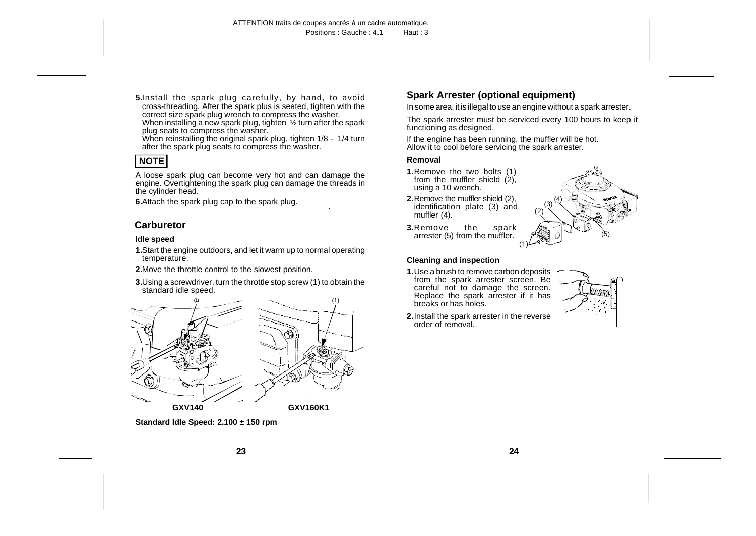<span id="page-10-0"></span>**5.**Install the spark plug carefully, by hand, to avoid cross-threading. After the spark plus is seated, tighten with the correct size spark plug wrench to compress the washer.

When installing a new spark plug, tighten 1/2 turn after the spark plug seats to compress the washer.

When reinstalling the original spark plug, tighten 1/8 - 1/4 turn after the spark plug seats to compress the washer.

# **NOTE**

A loose spark plug can become very hot and can damage the engine. Overtightening the spark plug can damage the threads in the cylinder head.

**6.**Attach the spark plug cap to the spark plug.

# **Carburetor**

#### **Idle speed**

- **1.**Start the engine outdoors, and let it warm up to normal operating temperature.
- **2.**Move the throttle control to the slowest position.
- **3.**Using a screwdriver, turn the throttle stop screw (1) to obtain the standard idle speed.



**Standard Idle Speed: 2.100 ± 150 rpm** 

# **Spark Arrester (optional equipment)**

In some area, it is illegal to use an engine without a spark arrester.

The spark arrester must be serviced every 100 hours to keep it functioning as designed.

If the engine has been running, the muffler will be hot. Allow it to cool before servicing the spark arrester.

#### **Removal**

- **1.**Remove the two bolts (1) from the muffler shield (2). using a 10 wrench.
- **2.**Remove the muffler shield (2), identification plate (3) and muffler (4).



**3.**Remove the spark arrester (5) from the muffler.

#### **Cleaning and inspection**

**1.**Use a brush to remove carbon deposits from the spark arrester screen. Be careful not to damage the screen. Replace the spark arrester if it has breaks or has holes.



**2.**Install the spark arrester in the reverse order of removal.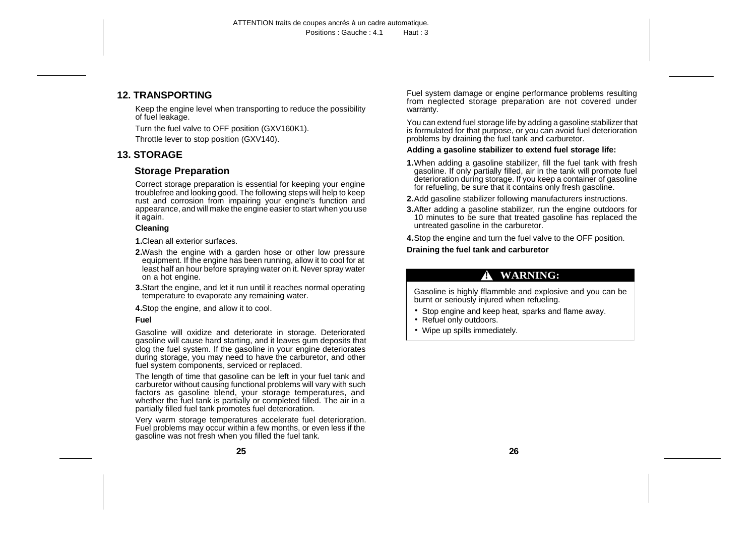### <span id="page-11-0"></span>**12. TRANSPORTING**

Keep the engine level when transporting to reduce the possibility of fuel leakage.

Turn the fuel valve to OFF position (GXV160K1).

Throttle lever to stop position (GXV140).

# **13. STORAGE**

## **Storage Preparation**

Correct storage preparation is essential for keeping your engine troublefree and looking good. The following steps will help to keep rust and corrosion from impairing your engine's function and appearance, and will make the engine easier to start when you use it again.

#### **Cleaning**

**1.**Clean all exterior surfaces.

- **2.**Wash the engine with a garden hose or other low pressure equipment. If the engine has been running, allow it to cool for at least half an hour before spraying water on it. Never spray water on a hot engine.
- **3.**Start the engine, and let it run until it reaches normal operating temperature to evaporate any remaining water.

**4.**Stop the engine, and allow it to cool.

#### **Fuel**

Gasoline will oxidize and deteriorate in storage. Deteriorated gasoline will cause hard starting, and it leaves gum deposits that clog the fuel system. If the gasoline in your engine deteriorates during storage, you may need to have the carburetor, and other fuel system components, serviced or replaced.

The length of time that gasoline can be left in your fuel tank and carburetor without causing functional problems will vary with such factors as gasoline blend, your storage temperatures, and whether the fuel tank is partially or completed filled. The air in a partially filled fuel tank promotes fuel deterioration.

Very warm storage temperatures accelerate fuel deterioration. Fuel problems may occur within a few months, or even less if the gasoline was not fresh when you filled the fuel tank.

Fuel system damage or engine performance problems resulting from neglected storage preparation are not covered under warranty.

You can extend fuel storage life by adding a gasoline stabilizer that is formulated for that purpose, or you can avoid fuel deterioration problems by draining the fuel tank and carburetor.

#### **Adding a gasoline stabilizer to extend fuel storage life:**

- **1.**When adding a gasoline stabilizer, fill the fuel tank with fresh gasoline. If only partially filled, air in the tank will promote fuel deterioration during storage. If you keep a container of gasoline for refueling, be sure that it contains only fresh gasoline.
- **2.**Add gasoline stabilizer following manufacturers instructions.
- **3.**After adding a gasoline stabilizer, run the engine outdoors for 10 minutes to be sure that treated gasoline has replaced the untreated gasoline in the carburetor.
- **4.**Stop the engine and turn the fuel valve to the OFF position.

**Draining the fuel tank and carburetor**

# **! WARNING:**

Gasoline is highly fflammble and explosive and you can be burnt or seriously injured when refueling.

- Stop engine and keep heat, sparks and flame away.
- Refuel only outdoors.
- Wipe up spills immediately.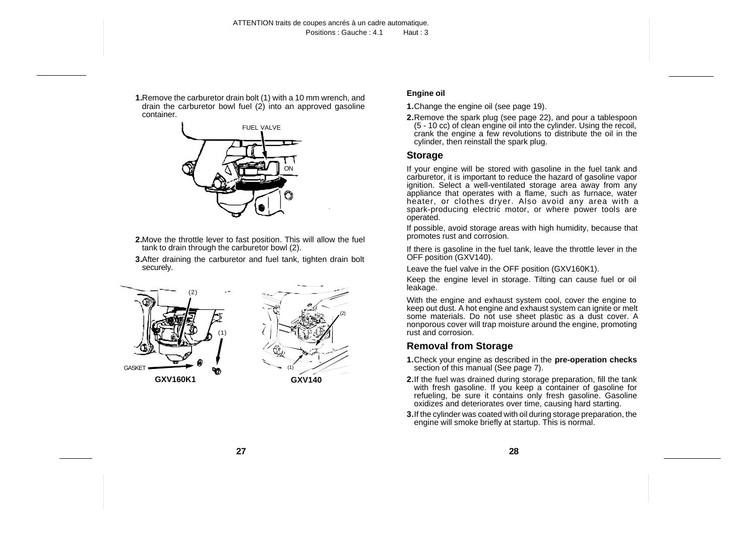<span id="page-12-0"></span>**1.**Remove the carburetor drain bolt (1) with a 10 mm wrench, and drain the carburetor bowl fuel  $(2)$  into an approved gasoline container.



- **2.**Move the throttle lever to fast position. This will allow the fuel tank to drain through the carburetor bowl (2).
- **3.**After draining the carburetor and fuel tank, tighten drain bolt securely.





#### **Engine oil**

- **1.**Change the engine oil (see page 19).
- **2.**Remove the spark plug (see page 22), and pour a tablespoon (5 - 10 cc) of clean engine oil into the cylinder. Using the recoil, crank the engine a few revolutions to distribute the oil in the cylinder, then reinstall the spark plug.

# **Storage**

If your engine will be stored with gasoline in the fuel tank and carburetor, it is important to reduce the hazard of gasoline vapor ignition. Select a well-ventilated storage area away from any appliance that operates with a flame, such as furnace, water heater, or clothes dryer. Also avoid any area with a spark-producing electric motor, or where power tools are operated.

If possible, avoid storage areas with high humidity, because that promotes rust and corrosion.

If there is gasoline in the fuel tank, leave the throttle lever in the OFF position (GXV140).

Leave the fuel valve in the OFF position (GXV160K1).

Keep the engine level in storage. Tilting can cause fuel or oil leakage.

With the engine and exhaust system cool, cover the engine to keep out dust. A hot engine and exhaust system can ignite or melt some materials. Do not use sheet plastic as a dust cover. A nonporous cover will trap moisture around the engine, promoting rust and corrosion.

### **Removal from Storage**

- **1.**Check your engine as described in the **pre-operation checks** section of this manual (See page 7).
- **2.**If the fuel was drained during storage preparation, fill the tank with fresh gasoline. If you keep a container of gasoline for refueling, be sure it contains only fresh gasoline. Gasoline oxidizes and deteriorates over time, causing hard starting.
- **3.**If the cylinder was coated with oil during storage preparation, the engine will smoke briefly at startup. This is normal.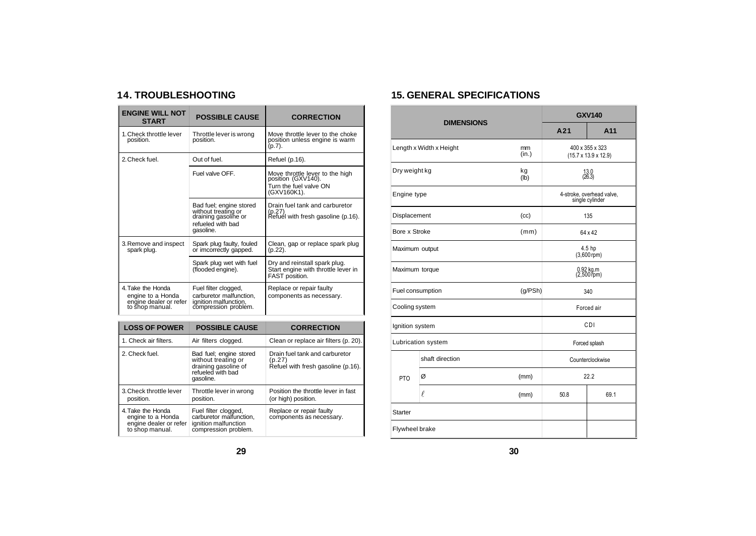# <span id="page-13-0"></span>**14. TROUBLESHOOTING**

| <b>ENGINE WILL NOT</b><br><b>START</b>                                                      | <b>POSSIBLE CAUSE</b>                                                                                    | <b>CORRECTION</b>                                                                              |
|---------------------------------------------------------------------------------------------|----------------------------------------------------------------------------------------------------------|------------------------------------------------------------------------------------------------|
| 1. Check throttle lever<br>position.                                                        | Throttle lever is wrong<br>position.                                                                     | Move throttle lever to the choke<br>position unless engine is warm<br>$(p.7)$ .                |
| 2. Check fuel.                                                                              | Out of fuel.                                                                                             | Refuel (p.16).                                                                                 |
|                                                                                             | Fuel valve OFF                                                                                           | Move throttle lever to the high<br>position (GXV140).<br>Turn the fuel valve ON<br>(GXV160K1). |
|                                                                                             | Bad fuel; engine stored<br>without treating or<br>draining gasoline or<br>refueled with bad<br>gasoline. | Drain fuel tank and carburetor<br>(p.27)<br>Refuél with fresh gasoline (p.16).                 |
| 3. Remove and inspect<br>Spark plug faulty, fouled<br>spark plug.<br>or imcorrectly gapped. |                                                                                                          | Clean, gap or replace spark plug<br>(p.22).                                                    |
|                                                                                             | Spark plug wet with fuel<br>(flooded engine).                                                            | Dry and reinstall spark plug.<br>Start engine with throttle lever in<br>FAST position.         |
| 4. Take the Honda<br>engine to a Honda<br>engine dealer or refer<br>to shop manual.         | Fuel filter clogged,<br>carburetor malfunction.<br>ignition malfunction,<br>compression problem.         | Replace or repair faulty<br>components as necessary.                                           |

| <b>LOSS OF POWER</b>                                                                | <b>POSSIBLE CAUSE</b>                                                                                    | <b>CORRECTION</b>                                                              |
|-------------------------------------------------------------------------------------|----------------------------------------------------------------------------------------------------------|--------------------------------------------------------------------------------|
| 1. Check air filters.                                                               | Air filters clogged.                                                                                     | Clean or replace air filters (p. 20).                                          |
| 2. Check fuel.                                                                      | Bad fuel; engine stored<br>without treating or<br>draining gasoline of<br>refueled with bad<br>gasoline. | Drain fuel tank and carburetor<br>(p.27)<br>Refuel with fresh gasoline (p.16). |
| 3. Check throttle lever<br>position.                                                | Throttle lever in wrong<br>position.                                                                     | Position the throttle lever in fast<br>(or high) position.                     |
| 4. Take the Honda<br>engine to a Honda<br>engine dealer or refer<br>to shop manual. | Fuel filter clogged,<br>carburetor malfunction,<br>ignition malfunction<br>compression problem.          | Replace or repair faulty<br>components as necessary.                           |

# **15. GENERAL SPECIFICATIONS**

|                  | <b>DIMENSIONS</b>       | <b>GXV140</b>                                       |                                              |                  |  |
|------------------|-------------------------|-----------------------------------------------------|----------------------------------------------|------------------|--|
|                  |                         | A21                                                 | A11                                          |                  |  |
|                  | Length x Width x Height | 400 x 355 x 323<br>$(15.7 \times 13.9 \times 12.9)$ |                                              |                  |  |
| Dry weight kg    |                         | kg<br>(Ib)                                          | $13.0$<br>(26.3)                             |                  |  |
| Engine type      |                         |                                                     | 4-stroke, overhead valve,<br>single cylinder |                  |  |
| Displacement     |                         | (cc)                                                |                                              | 135              |  |
| Bore x Stroke    |                         | (mm)                                                | 64 x 42                                      |                  |  |
| Maximum output   |                         |                                                     | 4.5 hp<br>$(3,600$ rpm)                      |                  |  |
| Maximum torque   |                         |                                                     | 0.92 kg.m<br>(2,500 rpm)                     |                  |  |
| Fuel consumption |                         | (g/PSh)                                             | 340                                          |                  |  |
| Cooling system   |                         |                                                     |                                              | Forced air       |  |
| Ignition system  |                         | CDI                                                 |                                              |                  |  |
|                  | Lubrication system      | Forced splash                                       |                                              |                  |  |
| shaft direction  |                         |                                                     |                                              | Counterclockwise |  |
| PTO              | Ø                       | (mm)                                                |                                              | 22.2             |  |
|                  | l.                      | (mm)                                                | 50.8                                         | 69.1             |  |
| Starter          |                         |                                                     |                                              |                  |  |
| Flywheel brake   |                         |                                                     |                                              |                  |  |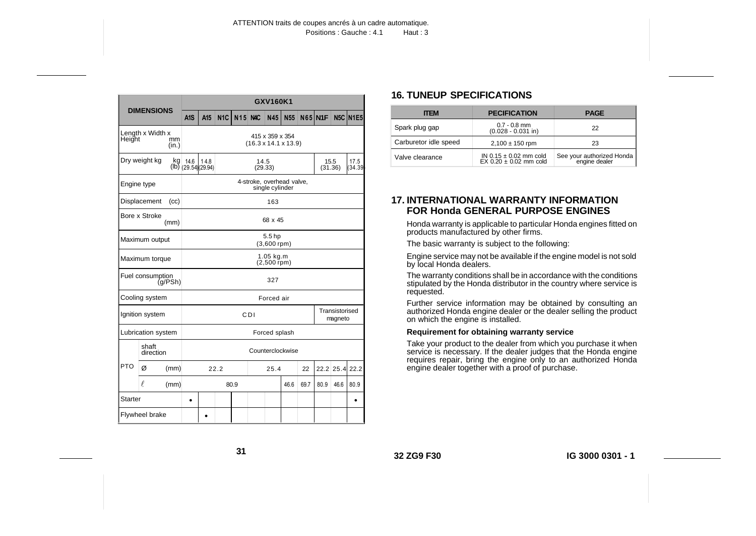<span id="page-14-0"></span>

| <b>DIMENSIONS</b>          |                                                      |                                                     | GXV160K1                                         |      |            |            |            |      |                      |               |                 |  |
|----------------------------|------------------------------------------------------|-----------------------------------------------------|--------------------------------------------------|------|------------|------------|------------|------|----------------------|---------------|-----------------|--|
|                            | A <sub>1</sub> S                                     | A <sub>15</sub>                                     | N <sub>1C</sub>                                  | N15  | <b>NAC</b> | <b>N45</b> | <b>N55</b> |      | $N65$ <sub>N1F</sub> |               | <b>N5C N1E5</b> |  |
| Length x Width x<br>Height | mm<br>(in.)                                          | 415 x 359 x 354<br>$(16.3 \times 14.1 \times 13.9)$ |                                                  |      |            |            |            |      |                      |               |                 |  |
|                            | Dry weight kg<br>kg                                  | 14.6                                                | 14.8<br>14.5<br>$(lb)$ (29.54)(29.94)<br>(29.33) |      |            |            |            |      | 15.5<br>(31.36)      | 17.5<br>34.39 |                 |  |
| Engine type                |                                                      |                                                     | 4-stroke, overhead valve,<br>single cylinder     |      |            |            |            |      |                      |               |                 |  |
|                            | Displacement<br>(cc)                                 |                                                     |                                                  |      |            |            | 163        |      |                      |               |                 |  |
|                            | Bore x Stroke<br>(mm)                                |                                                     |                                                  |      |            |            | 68 x 45    |      |                      |               |                 |  |
|                            | 5.5 <sub>hp</sub><br>Maximum output<br>$(3,600$ rpm) |                                                     |                                                  |      |            |            |            |      |                      |               |                 |  |
|                            | Maximum torque                                       | $1.05$ kg.m<br>$(2,500$ rpm)                        |                                                  |      |            |            |            |      |                      |               |                 |  |
|                            | Fuel consumption<br>(q/PSh)                          | 327                                                 |                                                  |      |            |            |            |      |                      |               |                 |  |
|                            | Cooling system                                       | Forced air                                          |                                                  |      |            |            |            |      |                      |               |                 |  |
|                            | Ignition system                                      | Transistorised<br>CDI<br>magneto                    |                                                  |      |            |            |            |      |                      |               |                 |  |
|                            | Lubrication system                                   | Forced splash                                       |                                                  |      |            |            |            |      |                      |               |                 |  |
|                            | shaft<br>direction                                   |                                                     | Counterclockwise                                 |      |            |            |            |      |                      |               |                 |  |
| <b>PTO</b>                 | Ø<br>(mm)                                            |                                                     | 22.2                                             |      |            | 25.4       |            | 22   |                      | 22.2 25.4     | 22.2            |  |
|                            | $\ell$<br>(mm)                                       |                                                     |                                                  | 80.9 |            |            | 46.6       | 69.7 | 80.9                 | 46.6          | 80.9            |  |
| Starter                    |                                                      | $\bullet$                                           |                                                  |      |            |            |            |      |                      |               |                 |  |
| Flywheel brake             |                                                      |                                                     |                                                  |      |            |            |            |      |                      |               |                 |  |

# **16. TUNEUP SPECIFICATIONS**

| <b>ITEM</b>           | <b>PECIFICATION</b>                                      | <b>PAGE</b>                                  |
|-----------------------|----------------------------------------------------------|----------------------------------------------|
| Spark plug gap        | $0.7 - 0.8$ mm<br>$(0.028 - 0.031)$ in)                  | 22                                           |
| Carburetor idle speed | $2,100 \pm 150$ rpm                                      | 23                                           |
| Valve clearance       | IN $0.15 \pm 0.02$ mm cold<br>$EX 0.20 \pm 0.02$ mm cold | See your authorized Honda<br>  engine dealer |

#### **17. INTERNATIONAL WARRANTY INFORMATION FOR Honda GENERAL PURPOSE ENGINES**

Honda warranty is applicable to particular Honda engines fitted on products manufactured by other firms.

The basic warranty is subject to the following:

Engine service may not be available if the engine model is not sold by local Honda dealers.

The warranty conditions shall be in accordance with the conditions stipulated by the Honda distributor in the country where service is requested.

Further service information may be obtained by consulting an authorized Honda engine dealer or the dealer selling the product on which the engine is installed.

#### **Requirement for obtaining warranty service**

Take your product to the dealer from which you purchase it when service is necessary. If the dealer judges that the Honda engine requires repair, bring the engine only to an authorized Honda engine dealer together with a proof of purchase.